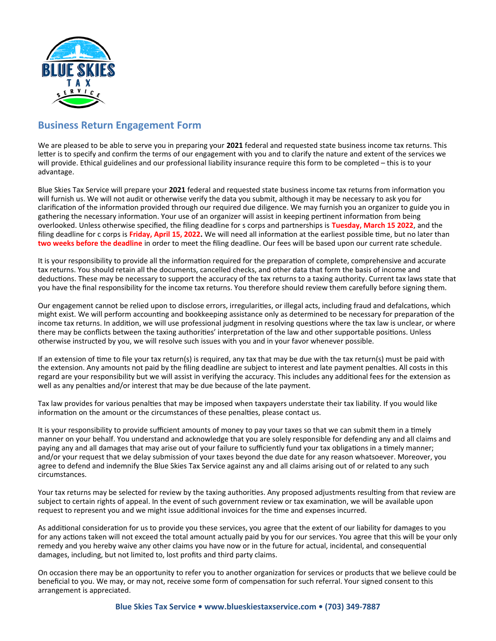

## **Business Return Engagement Form**

We are pleased to be able to serve you in preparing your **2021** federal and requested state business income tax returns. This letter is to specify and confirm the terms of our engagement with you and to clarify the nature and extent of the services we will provide. Ethical guidelines and our professional liability insurance require this form to be completed – this is to your advantage.

Blue Skies Tax Service will prepare your **2021** federal and requested state business income tax returns from information you will furnish us. We will not audit or otherwise verify the data you submit, although it may be necessary to ask you for clarification of the information provided through our required due diligence. We may furnish you an organizer to guide you in gathering the necessary information. Your use of an organizer will assist in keeping pertinent information from being overlooked. Unless otherwise specified, the filing deadline for s corps and partnerships is **Tuesday, March 15 2022**, and the filing deadline for c corps is **Friday, April 15, 2022.** We will need all information at the earliest possible time, but no later than **two weeks before the deadline** in order to meet the filing deadline. Our fees will be based upon our current rate schedule.

It is your responsibility to provide all the information required for the preparation of complete, comprehensive and accurate tax returns. You should retain all the documents, cancelled checks, and other data that form the basis of income and deductions. These may be necessary to support the accuracy of the tax returns to a taxing authority. Current tax laws state that you have the final responsibility for the income tax returns. You therefore should review them carefully before signing them.

Our engagement cannot be relied upon to disclose errors, irregularities, or illegal acts, including fraud and defalcations, which might exist. We will perform accounting and bookkeeping assistance only as determined to be necessary for preparation of the income tax returns. In addition, we will use professional judgment in resolving questions where the tax law is unclear, or where there may be conflicts between the taxing authorities' interpretation of the law and other supportable positions. Unless otherwise instructed by you, we will resolve such issues with you and in your favor whenever possible.

If an extension of time to file your tax return(s) is required, any tax that may be due with the tax return(s) must be paid with the extension. Any amounts not paid by the filing deadline are subject to interest and late payment penalties. All costs in this regard are your responsibility but we will assist in verifying the accuracy. This includes any additional fees for the extension as well as any penalties and/or interest that may be due because of the late payment.

Tax law provides for various penalties that may be imposed when taxpayers understate their tax liability. If you would like information on the amount or the circumstances of these penalties, please contact us.

It is your responsibility to provide sufficient amounts of money to pay your taxes so that we can submit them in a timely manner on your behalf. You understand and acknowledge that you are solely responsible for defending any and all claims and paying any and all damages that may arise out of your failure to sufficiently fund your tax obligations in a timely manner; and/or your request that we delay submission of your taxes beyond the due date for any reason whatsoever. Moreover, you agree to defend and indemnify the Blue Skies Tax Service against any and all claims arising out of or related to any such circumstances.

Your tax returns may be selected for review by the taxing authorities. Any proposed adjustments resulting from that review are subject to certain rights of appeal. In the event of such government review or tax examination, we will be available upon request to represent you and we might issue additional invoices for the time and expenses incurred.

As additional consideration for us to provide you these services, you agree that the extent of our liability for damages to you for any actions taken will not exceed the total amount actually paid by you for our services. You agree that this will be your only remedy and you hereby waive any other claims you have now or in the future for actual, incidental, and consequential damages, including, but not limited to, lost profits and third party claims.

On occasion there may be an opportunity to refer you to another organization for services or products that we believe could be beneficial to you. We may, or may not, receive some form of compensation for such referral. Your signed consent to this arrangement is appreciated.